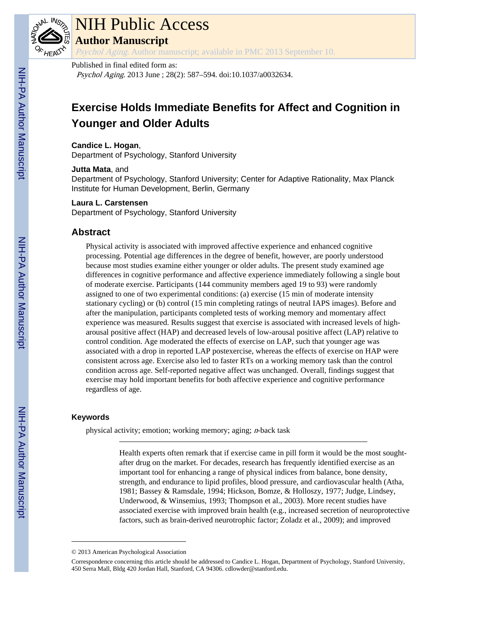

# NIH Public Access

**Author Manuscript**

Psychol Aging. Author manuscript; available in PMC 2013 September 10.

# Published in final edited form as:

Psychol Aging. 2013 June ; 28(2): 587–594. doi:10.1037/a0032634.

# **Exercise Holds Immediate Benefits for Affect and Cognition in Younger and Older Adults**

#### **Candice L. Hogan**,

Department of Psychology, Stanford University

#### **Jutta Mata**, and

Department of Psychology, Stanford University; Center for Adaptive Rationality, Max Planck Institute for Human Development, Berlin, Germany

#### **Laura L. Carstensen**

Department of Psychology, Stanford University

# **Abstract**

Physical activity is associated with improved affective experience and enhanced cognitive processing. Potential age differences in the degree of benefit, however, are poorly understood because most studies examine either younger or older adults. The present study examined age differences in cognitive performance and affective experience immediately following a single bout of moderate exercise. Participants (144 community members aged 19 to 93) were randomly assigned to one of two experimental conditions: (a) exercise (15 min of moderate intensity stationary cycling) or (b) control (15 min completing ratings of neutral IAPS images). Before and after the manipulation, participants completed tests of working memory and momentary affect experience was measured. Results suggest that exercise is associated with increased levels of higharousal positive affect (HAP) and decreased levels of low-arousal positive affect (LAP) relative to control condition. Age moderated the effects of exercise on LAP, such that younger age was associated with a drop in reported LAP postexercise, whereas the effects of exercise on HAP were consistent across age. Exercise also led to faster RTs on a working memory task than the control condition across age. Self-reported negative affect was unchanged. Overall, findings suggest that exercise may hold important benefits for both affective experience and cognitive performance regardless of age.

# **Keywords**

physical activity; emotion; working memory; aging; n-back task

Health experts often remark that if exercise came in pill form it would be the most soughtafter drug on the market. For decades, research has frequently identified exercise as an important tool for enhancing a range of physical indices from balance, bone density, strength, and endurance to lipid profiles, blood pressure, and cardiovascular health (Atha, 1981; Bassey & Ramsdale, 1994; Hickson, Bomze, & Holloszy, 1977; Judge, Lindsey, Underwood, & Winsemius, 1993; Thompson et al., 2003). More recent studies have associated exercise with improved brain health (e.g., increased secretion of neuroprotective factors, such as brain-derived neurotrophic factor; Zoladz et al., 2009); and improved

<sup>© 2013</sup> American Psychological Association

Correspondence concerning this article should be addressed to Candice L. Hogan, Department of Psychology, Stanford University, 450 Serra Mall, Bldg 420 Jordan Hall, Stanford, CA 94306. cdlowder@stanford.edu.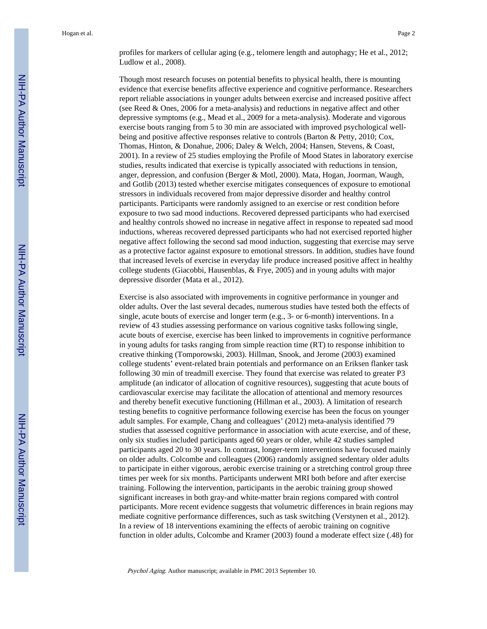profiles for markers of cellular aging (e.g., telomere length and autophagy; He et al., 2012; Ludlow et al., 2008).

Though most research focuses on potential benefits to physical health, there is mounting evidence that exercise benefits affective experience and cognitive performance. Researchers report reliable associations in younger adults between exercise and increased positive affect (see Reed & Ones, 2006 for a meta-analysis) and reductions in negative affect and other depressive symptoms (e.g., Mead et al., 2009 for a meta-analysis). Moderate and vigorous exercise bouts ranging from 5 to 30 min are associated with improved psychological wellbeing and positive affective responses relative to controls (Barton & Petty, 2010; Cox, Thomas, Hinton, & Donahue, 2006; Daley & Welch, 2004; Hansen, Stevens, & Coast, 2001). In a review of 25 studies employing the Profile of Mood States in laboratory exercise studies, results indicated that exercise is typically associated with reductions in tension, anger, depression, and confusion (Berger & Motl, 2000). Mata, Hogan, Joorman, Waugh, and Gotlib (2013) tested whether exercise mitigates consequences of exposure to emotional stressors in individuals recovered from major depressive disorder and healthy control participants. Participants were randomly assigned to an exercise or rest condition before exposure to two sad mood inductions. Recovered depressed participants who had exercised and healthy controls showed no increase in negative affect in response to repeated sad mood inductions, whereas recovered depressed participants who had not exercised reported higher negative affect following the second sad mood induction, suggesting that exercise may serve as a protective factor against exposure to emotional stressors. In addition, studies have found that increased levels of exercise in everyday life produce increased positive affect in healthy college students (Giacobbi, Hausenblas, & Frye, 2005) and in young adults with major depressive disorder (Mata et al., 2012).

Exercise is also associated with improvements in cognitive performance in younger and older adults. Over the last several decades, numerous studies have tested both the effects of single, acute bouts of exercise and longer term (e.g., 3- or 6-month) interventions. In a review of 43 studies assessing performance on various cognitive tasks following single, acute bouts of exercise, exercise has been linked to improvements in cognitive performance in young adults for tasks ranging from simple reaction time (RT) to response inhibition to creative thinking (Tomporowski, 2003). Hillman, Snook, and Jerome (2003) examined college students' event-related brain potentials and performance on an Eriksen flanker task following 30 min of treadmill exercise. They found that exercise was related to greater P3 amplitude (an indicator of allocation of cognitive resources), suggesting that acute bouts of cardiovascular exercise may facilitate the allocation of attentional and memory resources and thereby benefit executive functioning (Hillman et al., 2003). A limitation of research testing benefits to cognitive performance following exercise has been the focus on younger adult samples. For example, Chang and colleagues' (2012) meta-analysis identified 79 studies that assessed cognitive performance in association with acute exercise, and of these, only six studies included participants aged 60 years or older, while 42 studies sampled participants aged 20 to 30 years. In contrast, longer-term interventions have focused mainly on older adults. Colcombe and colleagues (2006) randomly assigned sedentary older adults to participate in either vigorous, aerobic exercise training or a stretching control group three times per week for six months. Participants underwent MRI both before and after exercise training. Following the intervention, participants in the aerobic training group showed significant increases in both gray-and white-matter brain regions compared with control participants. More recent evidence suggests that volumetric differences in brain regions may mediate cognitive performance differences, such as task switching (Verstynen et al., 2012). In a review of 18 interventions examining the effects of aerobic training on cognitive function in older adults, Colcombe and Kramer (2003) found a moderate effect size (.48) for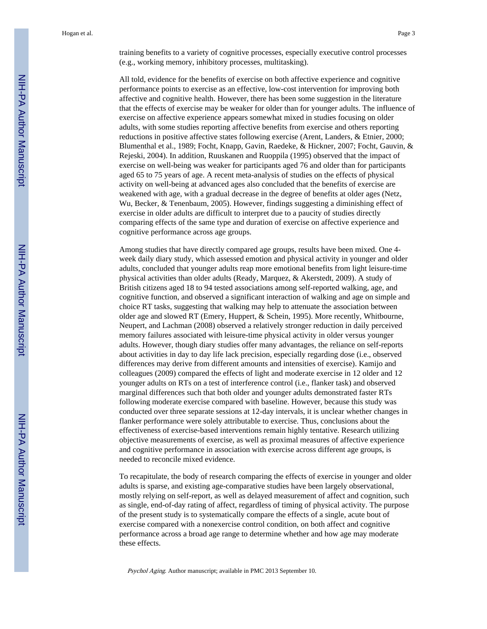training benefits to a variety of cognitive processes, especially executive control processes (e.g., working memory, inhibitory processes, multitasking).

All told, evidence for the benefits of exercise on both affective experience and cognitive performance points to exercise as an effective, low-cost intervention for improving both affective and cognitive health. However, there has been some suggestion in the literature that the effects of exercise may be weaker for older than for younger adults. The influence of exercise on affective experience appears somewhat mixed in studies focusing on older adults, with some studies reporting affective benefits from exercise and others reporting reductions in positive affective states following exercise (Arent, Landers, & Etnier, 2000; Blumenthal et al., 1989; Focht, Knapp, Gavin, Raedeke, & Hickner, 2007; Focht, Gauvin, & Rejeski, 2004). In addition, Ruuskanen and Ruoppila (1995) observed that the impact of exercise on well-being was weaker for participants aged 76 and older than for participants aged 65 to 75 years of age. A recent meta-analysis of studies on the effects of physical activity on well-being at advanced ages also concluded that the benefits of exercise are weakened with age, with a gradual decrease in the degree of benefits at older ages (Netz, Wu, Becker, & Tenenbaum, 2005). However, findings suggesting a diminishing effect of exercise in older adults are difficult to interpret due to a paucity of studies directly comparing effects of the same type and duration of exercise on affective experience and cognitive performance across age groups.

Among studies that have directly compared age groups, results have been mixed. One 4 week daily diary study, which assessed emotion and physical activity in younger and older adults, concluded that younger adults reap more emotional benefits from light leisure-time physical activities than older adults (Ready, Marquez, & Akerstedt, 2009). A study of British citizens aged 18 to 94 tested associations among self-reported walking, age, and cognitive function, and observed a significant interaction of walking and age on simple and choice RT tasks, suggesting that walking may help to attenuate the association between older age and slowed RT (Emery, Huppert, & Schein, 1995). More recently, Whitbourne, Neupert, and Lachman (2008) observed a relatively stronger reduction in daily perceived memory failures associated with leisure-time physical activity in older versus younger adults. However, though diary studies offer many advantages, the reliance on self-reports about activities in day to day life lack precision, especially regarding dose (i.e., observed differences may derive from different amounts and intensities of exercise). Kamijo and colleagues (2009) compared the effects of light and moderate exercise in 12 older and 12 younger adults on RTs on a test of interference control (i.e., flanker task) and observed marginal differences such that both older and younger adults demonstrated faster RTs following moderate exercise compared with baseline. However, because this study was conducted over three separate sessions at 12-day intervals, it is unclear whether changes in flanker performance were solely attributable to exercise. Thus, conclusions about the effectiveness of exercise-based interventions remain highly tentative. Research utilizing objective measurements of exercise, as well as proximal measures of affective experience and cognitive performance in association with exercise across different age groups, is needed to reconcile mixed evidence.

To recapitulate, the body of research comparing the effects of exercise in younger and older adults is sparse, and existing age-comparative studies have been largely observational, mostly relying on self-report, as well as delayed measurement of affect and cognition, such as single, end-of-day rating of affect, regardless of timing of physical activity. The purpose of the present study is to systematically compare the effects of a single, acute bout of exercise compared with a nonexercise control condition, on both affect and cognitive performance across a broad age range to determine whether and how age may moderate these effects.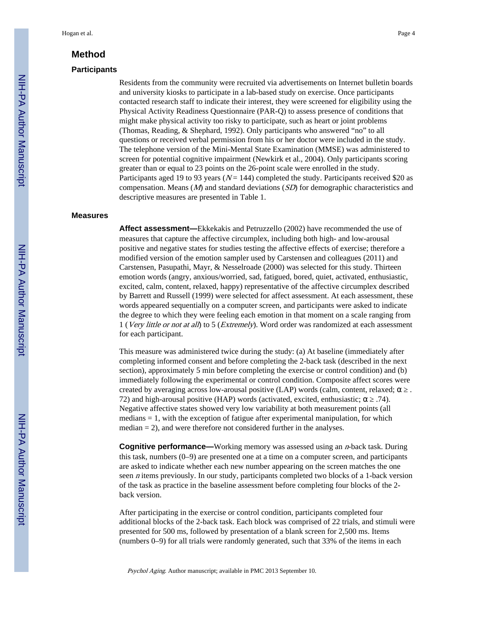#### **Method**

#### **Participants**

Residents from the community were recruited via advertisements on Internet bulletin boards and university kiosks to participate in a lab-based study on exercise. Once participants contacted research staff to indicate their interest, they were screened for eligibility using the Physical Activity Readiness Questionnaire (PAR-Q) to assess presence of conditions that might make physical activity too risky to participate, such as heart or joint problems (Thomas, Reading, & Shephard, 1992). Only participants who answered "no" to all questions or received verbal permission from his or her doctor were included in the study. The telephone version of the Mini-Mental State Examination (MMSE) was administered to screen for potential cognitive impairment (Newkirk et al., 2004). Only participants scoring greater than or equal to 23 points on the 26-point scale were enrolled in the study. Participants aged 19 to 93 years ( $N = 144$ ) completed the study. Participants received \$20 as compensation. Means (M) and standard deviations (SD) for demographic characteristics and descriptive measures are presented in Table 1.

#### **Measures**

**Affect assessment—**Ekkekakis and Petruzzello (2002) have recommended the use of measures that capture the affective circumplex, including both high- and low-arousal positive and negative states for studies testing the affective effects of exercise; therefore a modified version of the emotion sampler used by Carstensen and colleagues (2011) and Carstensen, Pasupathi, Mayr, & Nesselroade (2000) was selected for this study. Thirteen emotion words (angry, anxious/worried, sad, fatigued, bored, quiet, activated, enthusiastic, excited, calm, content, relaxed, happy) representative of the affective circumplex described by Barrett and Russell (1999) were selected for affect assessment. At each assessment, these words appeared sequentially on a computer screen, and participants were asked to indicate the degree to which they were feeling each emotion in that moment on a scale ranging from 1 (Very little or not at all) to 5 (Extremely). Word order was randomized at each assessment for each participant.

This measure was administered twice during the study: (a) At baseline (immediately after completing informed consent and before completing the 2-back task (described in the next section), approximately 5 min before completing the exercise or control condition) and (b) immediately following the experimental or control condition. Composite affect scores were created by averaging across low-arousal positive (LAP) words (calm, content, relaxed; 72) and high-arousal positive (HAP) words (activated, excited, enthusiastic;  $\ldots$  .74). Negative affective states showed very low variability at both measurement points (all medians = 1, with the exception of fatigue after experimental manipulation, for which median = 2), and were therefore not considered further in the analyses.

**Cognitive performance—**Working memory was assessed using an *n*-back task. During this task, numbers (0–9) are presented one at a time on a computer screen, and participants are asked to indicate whether each new number appearing on the screen matches the one seen n items previously. In our study, participants completed two blocks of a 1-back version of the task as practice in the baseline assessment before completing four blocks of the 2 back version.

After participating in the exercise or control condition, participants completed four additional blocks of the 2-back task. Each block was comprised of 22 trials, and stimuli were presented for 500 ms, followed by presentation of a blank screen for 2,500 ms. Items (numbers 0–9) for all trials were randomly generated, such that 33% of the items in each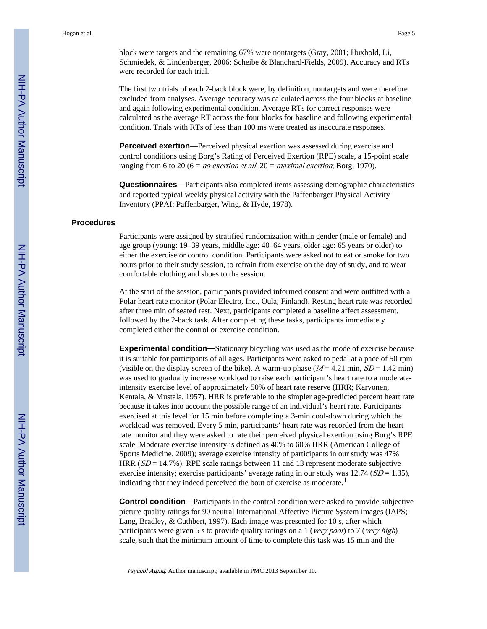block were targets and the remaining 67% were nontargets (Gray, 2001; Huxhold, Li, Schmiedek, & Lindenberger, 2006; Scheibe & Blanchard-Fields, 2009). Accuracy and RTs were recorded for each trial.

The first two trials of each 2-back block were, by definition, nontargets and were therefore excluded from analyses. Average accuracy was calculated across the four blocks at baseline and again following experimental condition. Average RTs for correct responses were calculated as the average RT across the four blocks for baseline and following experimental condition. Trials with RTs of less than 100 ms were treated as inaccurate responses.

**Perceived exertion—**Perceived physical exertion was assessed during exercise and control conditions using Borg's Rating of Perceived Exertion (RPE) scale, a 15-point scale ranging from 6 to 20 ( $6 = no$  exertion at all,  $20 =$  maximal exertion; Borg, 1970).

**Questionnaires—**Participants also completed items assessing demographic characteristics and reported typical weekly physical activity with the Paffenbarger Physical Activity Inventory (PPAI; Paffenbarger, Wing, & Hyde, 1978).

# **Procedures**

Participants were assigned by stratified randomization within gender (male or female) and age group (young: 19–39 years, middle age: 40–64 years, older age: 65 years or older) to either the exercise or control condition. Participants were asked not to eat or smoke for two hours prior to their study session, to refrain from exercise on the day of study, and to wear comfortable clothing and shoes to the session.

At the start of the session, participants provided informed consent and were outfitted with a Polar heart rate monitor (Polar Electro, Inc., Oula, Finland). Resting heart rate was recorded after three min of seated rest. Next, participants completed a baseline affect assessment, followed by the 2-back task. After completing these tasks, participants immediately completed either the control or exercise condition.

**Experimental condition—**Stationary bicycling was used as the mode of exercise because it is suitable for participants of all ages. Participants were asked to pedal at a pace of 50 rpm (visible on the display screen of the bike). A warm-up phase  $(M = 4.21 \text{ min}, SD = 1.42 \text{ min})$ was used to gradually increase workload to raise each participant's heart rate to a moderateintensity exercise level of approximately 50% of heart rate reserve (HRR; Karvonen, Kentala, & Mustala, 1957). HRR is preferable to the simpler age-predicted percent heart rate because it takes into account the possible range of an individual's heart rate. Participants exercised at this level for 15 min before completing a 3-min cool-down during which the workload was removed. Every 5 min, participants' heart rate was recorded from the heart rate monitor and they were asked to rate their perceived physical exertion using Borg's RPE scale. Moderate exercise intensity is defined as 40% to 60% HRR (American College of Sports Medicine, 2009); average exercise intensity of participants in our study was 47% HRR ( $SD = 14.7\%$ ). RPE scale ratings between 11 and 13 represent moderate subjective exercise intensity; exercise participants' average rating in our study was 12.74 ( $SD = 1.35$ ), indicating that they indeed perceived the bout of exercise as moderate.<sup>1</sup>

**Control condition—**Participants in the control condition were asked to provide subjective picture quality ratings for 90 neutral International Affective Picture System images (IAPS; Lang, Bradley, & Cuthbert, 1997). Each image was presented for 10 s, after which participants were given 5 s to provide quality ratings on a 1 (*very poor*) to 7 (*very high*) scale, such that the minimum amount of time to complete this task was 15 min and the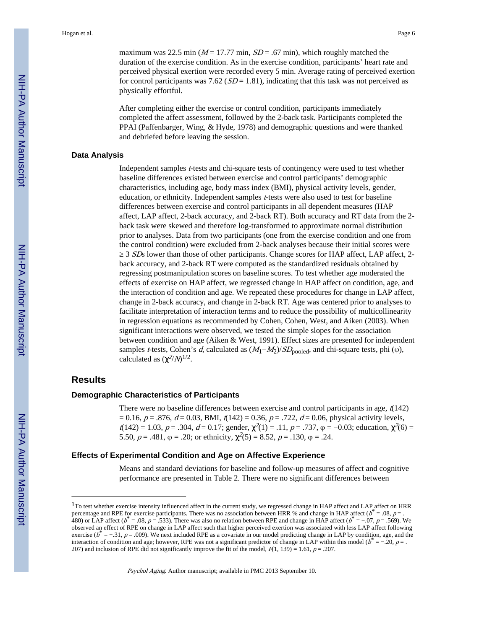maximum was 22.5 min ( $M = 17.77$  min,  $SD = .67$  min), which roughly matched the duration of the exercise condition. As in the exercise condition, participants' heart rate and perceived physical exertion were recorded every 5 min. Average rating of perceived exertion for control participants was 7.62 ( $SD = 1.81$ ), indicating that this task was not perceived as physically effortful.

After completing either the exercise or control condition, participants immediately completed the affect assessment, followed by the 2-back task. Participants completed the PPAI (Paffenbarger, Wing, & Hyde, 1978) and demographic questions and were thanked and debriefed before leaving the session.

#### **Data Analysis**

Independent samples t-tests and chi-square tests of contingency were used to test whether baseline differences existed between exercise and control participants' demographic characteristics, including age, body mass index (BMI), physical activity levels, gender, education, or ethnicity. Independent samples *t*-tests were also used to test for baseline differences between exercise and control participants in all dependent measures (HAP affect, LAP affect, 2-back accuracy, and 2-back RT). Both accuracy and RT data from the 2 back task were skewed and therefore log-transformed to approximate normal distribution prior to analyses. Data from two participants (one from the exercise condition and one from the control condition) were excluded from 2-back analyses because their initial scores were

3 SDs lower than those of other participants. Change scores for HAP affect, LAP affect, 2back accuracy, and 2-back RT were computed as the standardized residuals obtained by regressing postmanipulation scores on baseline scores. To test whether age moderated the effects of exercise on HAP affect, we regressed change in HAP affect on condition, age, and the interaction of condition and age. We repeated these procedures for change in LAP affect, change in 2-back accuracy, and change in 2-back RT. Age was centered prior to analyses to facilitate interpretation of interaction terms and to reduce the possibility of multicollinearity in regression equations as recommended by Cohen, Cohen, West, and Aiken (2003). When significant interactions were observed, we tested the simple slopes for the association between condition and age (Aiken & West, 1991). Effect sizes are presented for independent samples t-tests, Cohen's d, calculated as  $(M_1-M_2)/SD_{pooled}$ , and chi-square tests, phi ( $\varphi$ ), calculated as  $\left(\frac{2}{M}\right)^{1/2}$ .

## **Results**

#### **Demographic Characteristics of Participants**

There were no baseline differences between exercise and control participants in age,  $t(142)$  $= 0.16$ ,  $p = .876$ ,  $d = 0.03$ , BMI,  $t(142) = 0.36$ ,  $p = .722$ ,  $d = 0.06$ , physical activity levels,  $t(142) = 1.03$ ,  $p = .304$ ,  $d = 0.17$ ; gender,  $t^{2}(1) = .11$ ,  $p = .737$ ,  $\varphi = -0.03$ ; education,  $t^{2}(6) =$ 5.50,  $p = .481$ ,  $\varphi = .20$ ; or ethnicity,  $\frac{2}{5} = 8.52$ ,  $p = .130$ ,  $\varphi = .24$ .

#### **Effects of Experimental Condition and Age on Affective Experience**

Means and standard deviations for baseline and follow-up measures of affect and cognitive performance are presented in Table 2. There were no significant differences between

<sup>&</sup>lt;sup>1</sup>To test whether exercise intensity influenced affect in the current study, we regressed change in HAP affect and LAP affect on HRR percentage and RPE for exercise participants. There was no association between HRR % and change in HAP affect  $(b^* = .08, p = .$ 480) or LAP affect ( $b^* = .08$ ,  $p = .533$ ). There was also no relation between RPE and change in HAP affect ( $b^* = -07$ ,  $p = .569$ ). We observed an effect of RPE on change in LAP affect such that higher perceived exertion was associated with less LAP affect following exercise  $(b^* = -31, p = .009)$ . We next included RPE as a covariate in our model predicting change in LAP by condition, age, and the interaction of condition and age; however, RPE was not a significant predictor of change in LAP within this model ( $b^* = -20$ ,  $p = 1$ ) 207) and inclusion of RPE did not significantly improve the fit of the model,  $F(1, 139) = 1.61$ ,  $p = .207$ .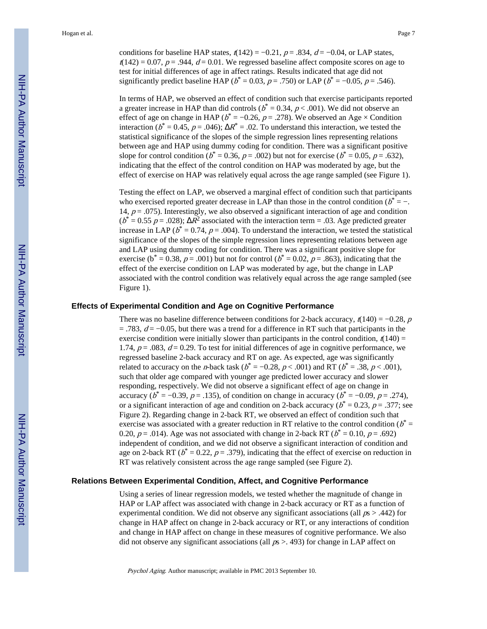conditions for baseline HAP states,  $t(142) = -0.21$ ,  $p = .834$ ,  $d = -0.04$ , or LAP states,  $t(142) = 0.07$ ,  $p = .944$ ,  $d = 0.01$ . We regressed baseline affect composite scores on age to test for initial differences of age in affect ratings. Results indicated that age did not significantly predict baseline HAP ( $b^* = 0.03$ ,  $p = .750$ ) or LAP ( $b^* = -0.05$ ,  $p = .546$ ).

In terms of HAP, we observed an effect of condition such that exercise participants reported a greater increase in HAP than did controls ( $b^* = 0.34$ ,  $p < .001$ ). We did not observe an effect of age on change in HAP ( $b^* = -0.26$ ,  $p = .278$ ). We observed an Age  $\times$  Condition interaction ( $b^* = 0.45$ ,  $p = .046$ );  $R^* = .02$ . To understand this interaction, we tested the statistical significance of the slopes of the simple regression lines representing relations between age and HAP using dummy coding for condition. There was a significant positive slope for control condition ( $b^* = 0.36$ ,  $p = .002$ ) but not for exercise ( $b^* = 0.05$ ,  $p = .632$ ), indicating that the effect of the control condition on HAP was moderated by age, but the effect of exercise on HAP was relatively equal across the age range sampled (see Figure 1).

Testing the effect on LAP, we observed a marginal effect of condition such that participants who exercised reported greater decrease in LAP than those in the control condition ( $b^* = -$ . 14,  $p = .075$ ). Interestingly, we also observed a significant interaction of age and condition  $(b^* = 0.55 \ p = .028)$ ;  $R^2$  associated with the interaction term = .03. Age predicted greater increase in LAP ( $b^* = 0.74$ ,  $p = .004$ ). To understand the interaction, we tested the statistical significance of the slopes of the simple regression lines representing relations between age and LAP using dummy coding for condition. There was a significant positive slope for exercise (b<sup>\*</sup> = 0.38,  $p = .001$ ) but not for control ( $b^* = 0.02$ ,  $p = .863$ ), indicating that the effect of the exercise condition on LAP was moderated by age, but the change in LAP associated with the control condition was relatively equal across the age range sampled (see Figure 1).

#### **Effects of Experimental Condition and Age on Cognitive Performance**

There was no baseline difference between conditions for 2-back accuracy,  $t(140) = -0.28$ , p  $= .783$ ,  $d = -0.05$ , but there was a trend for a difference in RT such that participants in the exercise condition were initially slower than participants in the control condition,  $t(140)$  = 1.74,  $p = 0.083$ ,  $d = 0.29$ . To test for initial differences of age in cognitive performance, we regressed baseline 2-back accuracy and RT on age. As expected, age was significantly related to accuracy on the *n*-back task ( $b^* = -0.28$ ,  $p < .001$ ) and RT ( $b^* = .38$ ,  $p < .001$ ), such that older age compared with younger age predicted lower accuracy and slower responding, respectively. We did not observe a significant effect of age on change in accuracy ( $b^* = -0.39$ ,  $p = .135$ ), of condition on change in accuracy ( $b^* = -0.09$ ,  $p = .274$ ), or a significant interaction of age and condition on 2-back accuracy ( $b^* = 0.23$ ,  $p = .377$ ; see Figure 2). Regarding change in 2-back RT, we observed an effect of condition such that exercise was associated with a greater reduction in RT relative to the control condition ( $b^*$  = 0.20,  $p = .014$ ). Age was not associated with change in 2-back RT ( $b^* = 0.10$ ,  $p = .692$ ) independent of condition, and we did not observe a significant interaction of condition and age on 2-back RT ( $b^* = 0.22$ ,  $p = .379$ ), indicating that the effect of exercise on reduction in RT was relatively consistent across the age range sampled (see Figure 2).

#### **Relations Between Experimental Condition, Affect, and Cognitive Performance**

Using a series of linear regression models, we tested whether the magnitude of change in HAP or LAP affect was associated with change in 2-back accuracy or RT as a function of experimental condition. We did not observe any significant associations (all  $p_s > .442$ ) for change in HAP affect on change in 2-back accuracy or RT, or any interactions of condition and change in HAP affect on change in these measures of cognitive performance. We also did not observe any significant associations (all  $ps > 0.493$ ) for change in LAP affect on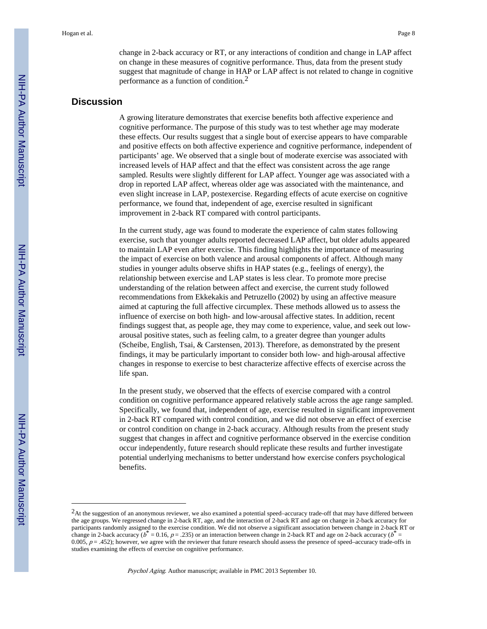change in 2-back accuracy or RT, or any interactions of condition and change in LAP affect on change in these measures of cognitive performance. Thus, data from the present study suggest that magnitude of change in HAP or LAP affect is not related to change in cognitive performance as a function of condition.2

# **Discussion**

A growing literature demonstrates that exercise benefits both affective experience and cognitive performance. The purpose of this study was to test whether age may moderate these effects. Our results suggest that a single bout of exercise appears to have comparable and positive effects on both affective experience and cognitive performance, independent of participants' age. We observed that a single bout of moderate exercise was associated with increased levels of HAP affect and that the effect was consistent across the age range sampled. Results were slightly different for LAP affect. Younger age was associated with a drop in reported LAP affect, whereas older age was associated with the maintenance, and even slight increase in LAP, postexercise. Regarding effects of acute exercise on cognitive performance, we found that, independent of age, exercise resulted in significant improvement in 2-back RT compared with control participants.

In the current study, age was found to moderate the experience of calm states following exercise, such that younger adults reported decreased LAP affect, but older adults appeared to maintain LAP even after exercise. This finding highlights the importance of measuring the impact of exercise on both valence and arousal components of affect. Although many studies in younger adults observe shifts in HAP states (e.g., feelings of energy), the relationship between exercise and LAP states is less clear. To promote more precise understanding of the relation between affect and exercise, the current study followed recommendations from Ekkekakis and Petruzello (2002) by using an affective measure aimed at capturing the full affective circumplex. These methods allowed us to assess the influence of exercise on both high- and low-arousal affective states. In addition, recent findings suggest that, as people age, they may come to experience, value, and seek out lowarousal positive states, such as feeling calm, to a greater degree than younger adults (Scheibe, English, Tsai, & Carstensen, 2013). Therefore, as demonstrated by the present findings, it may be particularly important to consider both low- and high-arousal affective changes in response to exercise to best characterize affective effects of exercise across the life span.

In the present study, we observed that the effects of exercise compared with a control condition on cognitive performance appeared relatively stable across the age range sampled. Specifically, we found that, independent of age, exercise resulted in significant improvement in 2-back RT compared with control condition, and we did not observe an effect of exercise or control condition on change in 2-back accuracy. Although results from the present study suggest that changes in affect and cognitive performance observed in the exercise condition occur independently, future research should replicate these results and further investigate potential underlying mechanisms to better understand how exercise confers psychological benefits.

<sup>&</sup>lt;sup>2</sup>At the suggestion of an anonymous reviewer, we also examined a potential speed–accuracy trade-off that may have differed between the age groups. We regressed change in 2-back RT, age, and the interaction of 2-back RT and age on change in 2-back accuracy for participants randomly assigned to the exercise condition. We did not observe a significant association between change in 2-back RT or change in 2-back accuracy ( $b^* = 0.16$ ,  $p = .235$ ) or an interaction between change in 2-back RT and age on 2-back accuracy ( $b^* =$ 0.005,  $p = .452$ ); however, we agree with the reviewer that future research should assess the presence of speed–accuracy trade-offs in studies examining the effects of exercise on cognitive performance.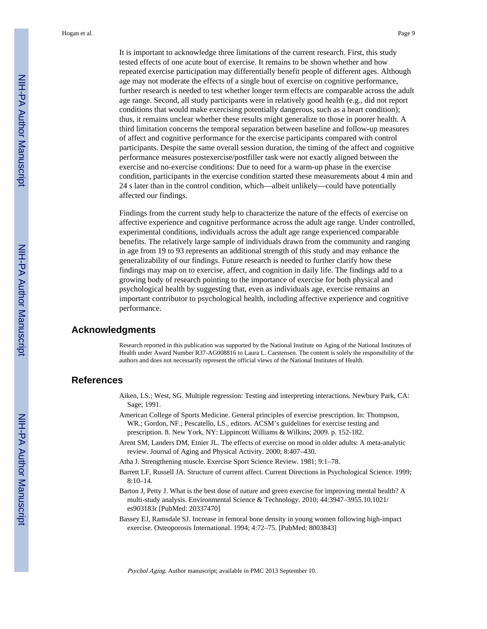It is important to acknowledge three limitations of the current research. First, this study tested effects of one acute bout of exercise. It remains to be shown whether and how repeated exercise participation may differentially benefit people of different ages. Although age may not moderate the effects of a single bout of exercise on cognitive performance, further research is needed to test whether longer term effects are comparable across the adult age range. Second, all study participants were in relatively good health (e.g., did not report conditions that would make exercising potentially dangerous, such as a heart condition); thus, it remains unclear whether these results might generalize to those in poorer health. A third limitation concerns the temporal separation between baseline and follow-up measures of affect and cognitive performance for the exercise participants compared with control participants. Despite the same overall session duration, the timing of the affect and cognitive performance measures postexercise/postfiller task were not exactly aligned between the exercise and no-exercise conditions: Due to need for a warm-up phase in the exercise condition, participants in the exercise condition started these measurements about 4 min and 24 s later than in the control condition, which—albeit unlikely—could have potentially affected our findings.

Findings from the current study help to characterize the nature of the effects of exercise on affective experience and cognitive performance across the adult age range. Under controlled, experimental conditions, individuals across the adult age range experienced comparable benefits. The relatively large sample of individuals drawn from the community and ranging in age from 19 to 93 represents an additional strength of this study and may enhance the generalizability of our findings. Future research is needed to further clarify how these findings may map on to exercise, affect, and cognition in daily life. The findings add to a growing body of research pointing to the importance of exercise for both physical and psychological health by suggesting that, even as individuals age, exercise remains an important contributor to psychological health, including affective experience and cognitive performance.

#### **Acknowledgments**

Research reported in this publication was supported by the National Institute on Aging of the National Institutes of Health under Award Number R37-AG008816 to Laura L. Carstensen. The content is solely the responsibility of the authors and does not necessarily represent the official views of the National Institutes of Health.

# **References**

- Aiken, LS.; West, SG. Multiple regression: Testing and interpreting interactions. Newbury Park, CA: Sage; 1991.
- American College of Sports Medicine. General principles of exercise prescription. In: Thompson, WR.; Gordon, NF.; Pescatello, LS., editors. ACSM's guidelines for exercise testing and prescription. 8. New York, NY: Lippincott Williams & Wilkins; 2009. p. 152-182.
- Arent SM, Landers DM, Etnier JL. The effects of exercise on mood in older adults: A meta-analytic review. Journal of Aging and Physical Activity. 2000; 8:407–430.
- Atha J. Strengthening muscle. Exercise Sport Science Review. 1981; 9:1–78.
- Barrett LF, Russell JA. Structure of current affect. Current Directions in Psychological Science. 1999; 8:10–14.
- Barton J, Petty J. What is the best dose of nature and green exercise for improving mental health? A multi-study analysis. Environmental Science & Technology. 2010; 44:3947–3955.10.1021/ es903183r [PubMed: 20337470]
- Bassey EJ, Ramsdale SJ. Increase in femoral bone density in young women following high-impact exercise. Osteoporosis International. 1994; 4:72–75. [PubMed: 8003843]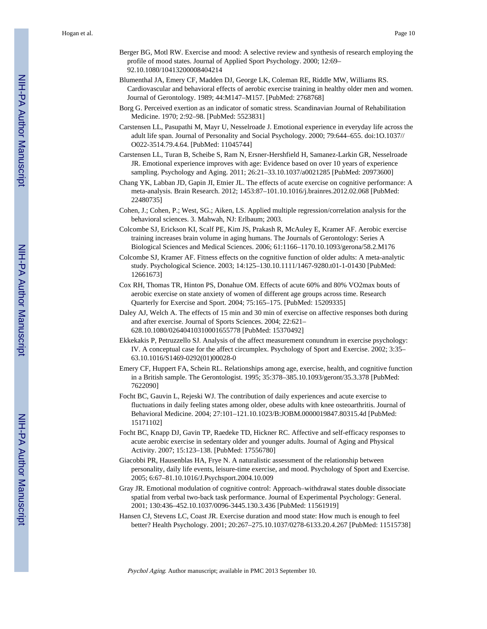- Berger BG, Motl RW. Exercise and mood: A selective review and synthesis of research employing the profile of mood states. Journal of Applied Sport Psychology. 2000; 12:69– 92.10.1080/10413200008404214
- Blumenthal JA, Emery CF, Madden DJ, George LK, Coleman RE, Riddle MW, Williams RS. Cardiovascular and behavioral effects of aerobic exercise training in healthy older men and women. Journal of Gerontology. 1989; 44:M147–M157. [PubMed: 2768768]
- Borg G. Perceived exertion as an indicator of somatic stress. Scandinavian Journal of Rehabilitation Medicine. 1970; 2:92–98. [PubMed: 5523831]
- Carstensen LL, Pasupathi M, Mayr U, Nesselroade J. Emotional experience in everyday life across the adult life span. Journal of Personality and Social Psychology. 2000; 79:644–655. doi:1O.1037// O022-3514.79.4.64. [PubMed: 11045744]
- Carstensen LL, Turan B, Scheibe S, Ram N, Ersner-Hershfield H, Samanez-Larkin GR, Nesselroade JR. Emotional experience improves with age: Evidence based on over 10 years of experience sampling. Psychology and Aging. 2011; 26:21–33.10.1037/a0021285 [PubMed: 20973600]
- Chang YK, Labban JD, Gapin JI, Etnier JL. The effects of acute exercise on cognitive performance: A meta-analysis. Brain Research. 2012; 1453:87–101.10.1016/j.brainres.2012.02.068 [PubMed: 22480735]
- Cohen, J.; Cohen, P.; West, SG.; Aiken, LS. Applied multiple regression/correlation analysis for the behavioral sciences. 3. Mahwah, NJ: Erlbaum; 2003.
- Colcombe SJ, Erickson KI, Scalf PE, Kim JS, Prakash R, McAuley E, Kramer AF. Aerobic exercise training increases brain volume in aging humans. The Journals of Gerontology: Series A Biological Sciences and Medical Sciences. 2006; 61:1166–1170.10.1093/gerona/58.2.M176
- Colcombe SJ, Kramer AF. Fitness effects on the cognitive function of older adults: A meta-analytic study. Psychological Science. 2003; 14:125–130.10.1111/1467-9280.t01-1-01430 [PubMed: 12661673]
- Cox RH, Thomas TR, Hinton PS, Donahue OM. Effects of acute 60% and 80% VO2max bouts of aerobic exercise on state anxiety of women of different age groups across time. Research Quarterly for Exercise and Sport. 2004; 75:165–175. [PubMed: 15209335]
- Daley AJ, Welch A. The effects of 15 min and 30 min of exercise on affective responses both during and after exercise. Journal of Sports Sciences. 2004; 22:621– 628.10.1080/02640410310001655778 [PubMed: 15370492]
- Ekkekakis P, Petruzzello SJ. Analysis of the affect measurement conundrum in exercise psychology: IV. A conceptual case for the affect circumplex. Psychology of Sport and Exercise. 2002; 3:35– 63.10.1016/S1469-0292(01)00028-0
- Emery CF, Huppert FA, Schein RL. Relationships among age, exercise, health, and cognitive function in a British sample. The Gerontologist. 1995; 35:378–385.10.1093/geront/35.3.378 [PubMed: 7622090]
- Focht BC, Gauvin L, Rejeski WJ. The contribution of daily experiences and acute exercise to fluctuations in daily feeling states among older, obese adults with knee osteoarthritis. Journal of Behavioral Medicine. 2004; 27:101–121.10.1023/B:JOBM.0000019847.80315.4d [PubMed: 15171102]
- Focht BC, Knapp DJ, Gavin TP, Raedeke TD, Hickner RC. Affective and self-efficacy responses to acute aerobic exercise in sedentary older and younger adults. Journal of Aging and Physical Activity. 2007; 15:123–138. [PubMed: 17556780]
- Giacobbi PR, Hausenblas HA, Frye N. A naturalistic assessment of the relationship between personality, daily life events, leisure-time exercise, and mood. Psychology of Sport and Exercise. 2005; 6:67–81.10.1016/J.Psychsport.2004.10.009
- Gray JR. Emotional modulation of cognitive control: Approach–withdrawal states double dissociate spatial from verbal two-back task performance. Journal of Experimental Psychology: General. 2001; 130:436–452.10.1037/0096-3445.130.3.436 [PubMed: 11561919]
- Hansen CJ, Stevens LC, Coast JR. Exercise duration and mood state: How much is enough to feel better? Health Psychology. 2001; 20:267–275.10.1037/0278-6133.20.4.267 [PubMed: 11515738]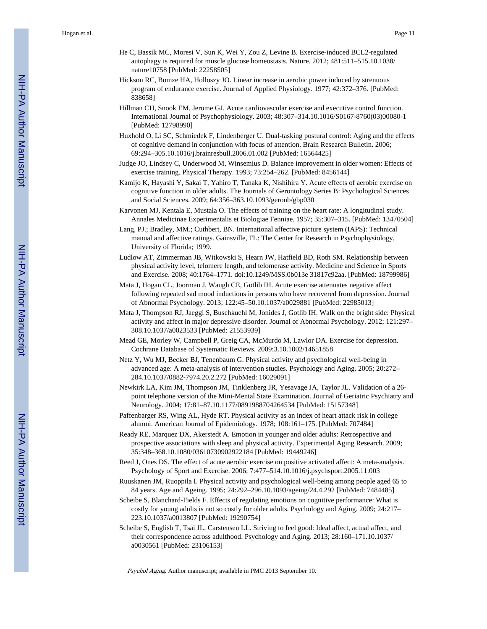- He C, Bassik MC, Moresi V, Sun K, Wei Y, Zou Z, Levine B. Exercise-induced BCL2-regulated autophagy is required for muscle glucose homeostasis. Nature. 2012; 481:511–515.10.1038/ nature10758 [PubMed: 22258505]
- Hickson RC, Bomze HA, Holloszy JO. Linear increase in aerobic power induced by strenuous program of endurance exercise. Journal of Applied Physiology. 1977; 42:372–376. [PubMed: 838658]
- Hillman CH, Snook EM, Jerome GJ. Acute cardiovascular exercise and executive control function. International Journal of Psychophysiology. 2003; 48:307–314.10.1016/S0167-8760(03)00080-1 [PubMed: 12798990]
- Huxhold O, Li SC, Schmiedek F, Lindenberger U. Dual-tasking postural control: Aging and the effects of cognitive demand in conjunction with focus of attention. Brain Research Bulletin. 2006; 69:294–305.10.1016/j.brainresbull.2006.01.002 [PubMed: 16564425]
- Judge JO, Lindsey C, Underwood M, Winsemius D. Balance improvement in older women: Effects of exercise training. Physical Therapy. 1993; 73:254–262. [PubMed: 8456144]
- Kamijo K, Hayashi Y, Sakai T, Yahiro T, Tanaka K, Nishihira Y. Acute effects of aerobic exercise on cognitive function in older adults. The Journals of Gerontology Series B: Psychological Sciences and Social Sciences. 2009; 64:356–363.10.1093/geronb/gbp030
- Karvonen MJ, Kentala E, Mustala O. The effects of training on the heart rate: A longitudinal study. Annales Medicinae Experimentalis et Biologiae Fenniae. 1957; 35:307–315. [PubMed: 13470504]
- Lang, PJ.; Bradley, MM.; Cuthbert, BN. International affective picture system (IAPS): Technical manual and affective ratings. Gainsville, FL: The Center for Research in Psychophysiology, University of Florida; 1999.
- Ludlow AT, Zimmerman JB, Witkowski S, Hearn JW, Hatfield BD, Roth SM. Relationship between physical activity level, telomere length, and telomerase activity. Medicine and Science in Sports and Exercise. 2008; 40:1764–1771. doi:10.1249/MSS.0b013e 31817c92aa. [PubMed: 18799986]
- Mata J, Hogan CL, Joorman J, Waugh CE, Gotlib IH. Acute exercise attenuates negative affect following repeated sad mood inductions in persons who have recovered from depression. Journal of Abnormal Psychology. 2013; 122:45–50.10.1037/a0029881 [PubMed: 22985013]
- Mata J, Thompson RJ, Jaeggi S, Buschkuehl M, Jonides J, Gotlib IH. Walk on the bright side: Physical activity and affect in major depressive disorder. Journal of Abnormal Psychology. 2012; 121:297– 308.10.1037/a0023533 [PubMed: 21553939]
- Mead GE, Morley W, Campbell P, Greig CA, McMurdo M, Lawlor DA. Exercise for depression. Cochrane Database of Systematic Reviews. 2009:3.10.1002/14651858
- Netz Y, Wu MJ, Becker BJ, Tenenbaum G. Physical activity and psychological well-being in advanced age: A meta-analysis of intervention studies. Psychology and Aging. 2005; 20:272– 284.10.1037/0882-7974.20.2.272 [PubMed: 16029091]
- Newkirk LA, Kim JM, Thompson JM, Tinklenberg JR, Yesavage JA, Taylor JL. Validation of a 26 point telephone version of the Mini-Mental State Examination. Journal of Geriatric Psychiatry and Neurology. 2004; 17:81–87.10.1177/0891988704264534 [PubMed: 15157348]
- Paffenbarger RS, Wing AL, Hyde RT. Physical activity as an index of heart attack risk in college alumni. American Journal of Epidemiology. 1978; 108:161–175. [PubMed: 707484]
- Ready RE, Marquez DX, Akerstedt A. Emotion in younger and older adults: Retrospective and prospective associations with sleep and physical activity. Experimental Aging Research. 2009; 35:348–368.10.1080/03610730902922184 [PubMed: 19449246]
- Reed J, Ones DS. The effect of acute aerobic exercise on positive activated affect: A meta-analysis. Psychology of Sport and Exercise. 2006; 7:477–514.10.1016/j.psychsport.2005.11.003
- Ruuskanen JM, Ruoppila I. Physical activity and psychological well-being among people aged 65 to 84 years. Age and Ageing. 1995; 24:292–296.10.1093/ageing/24.4.292 [PubMed: 7484485]
- Scheibe S, Blanchard-Fields F. Effects of regulating emotions on cognitive performance: What is costly for young adults is not so costly for older adults. Psychology and Aging. 2009; 24:217– 223.10.1037/a0013807 [PubMed: 19290754]
- Scheibe S, English T, Tsai JL, Carstensen LL. Striving to feel good: Ideal affect, actual affect, and their correspondence across adulthood. Psychology and Aging. 2013; 28:160–171.10.1037/ a0030561 [PubMed: 23106153]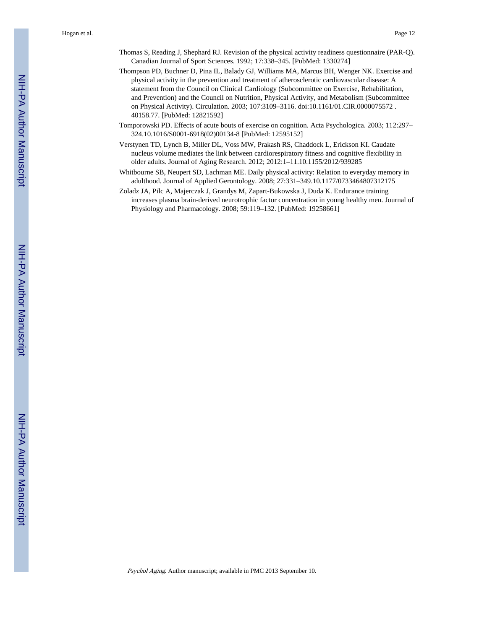- Thomas S, Reading J, Shephard RJ. Revision of the physical activity readiness questionnaire (PAR-Q). Canadian Journal of Sport Sciences. 1992; 17:338–345. [PubMed: 1330274]
- Thompson PD, Buchner D, Pina IL, Balady GJ, Williams MA, Marcus BH, Wenger NK. Exercise and physical activity in the prevention and treatment of atherosclerotic cardiovascular disease: A statement from the Council on Clinical Cardiology (Subcommittee on Exercise, Rehabilitation, and Prevention) and the Council on Nutrition, Physical Activity, and Metabolism (Subcommittee on Physical Activity). Circulation. 2003; 107:3109–3116. doi:10.1161/01.CIR.0000075572 . 40158.77. [PubMed: 12821592]
- Tomporowski PD. Effects of acute bouts of exercise on cognition. Acta Psychologica. 2003; 112:297– 324.10.1016/S0001-6918(02)00134-8 [PubMed: 12595152]
- Verstynen TD, Lynch B, Miller DL, Voss MW, Prakash RS, Chaddock L, Erickson KI. Caudate nucleus volume mediates the link between cardiorespiratory fitness and cognitive flexibility in older adults. Journal of Aging Research. 2012; 2012:1–11.10.1155/2012/939285
- Whitbourne SB, Neupert SD, Lachman ME. Daily physical activity: Relation to everyday memory in adulthood. Journal of Applied Gerontology. 2008; 27:331–349.10.1177/0733464807312175
- Zoladz JA, Pilc A, Majerczak J, Grandys M, Zapart-Bukowska J, Duda K. Endurance training increases plasma brain-derived neurotrophic factor concentration in young healthy men. Journal of Physiology and Pharmacology. 2008; 59:119–132. [PubMed: 19258661]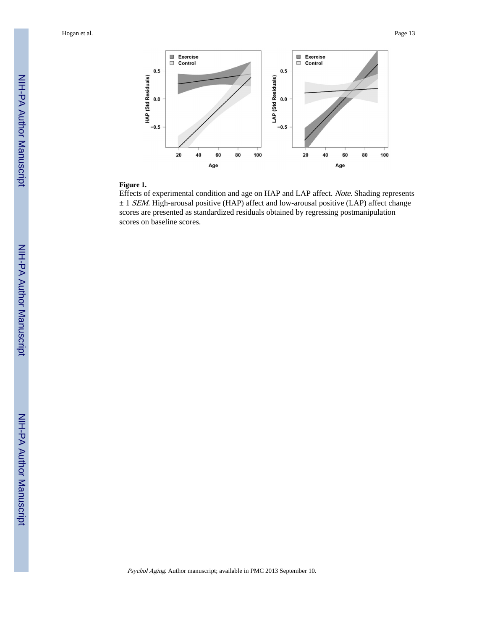Hogan et al. Page 13



#### **Figure 1.**

Effects of experimental condition and age on HAP and LAP affect. Note. Shading represents  $± 1$  SEM. High-arousal positive (HAP) affect and low-arousal positive (LAP) affect change scores are presented as standardized residuals obtained by regressing postmanipulation scores on baseline scores.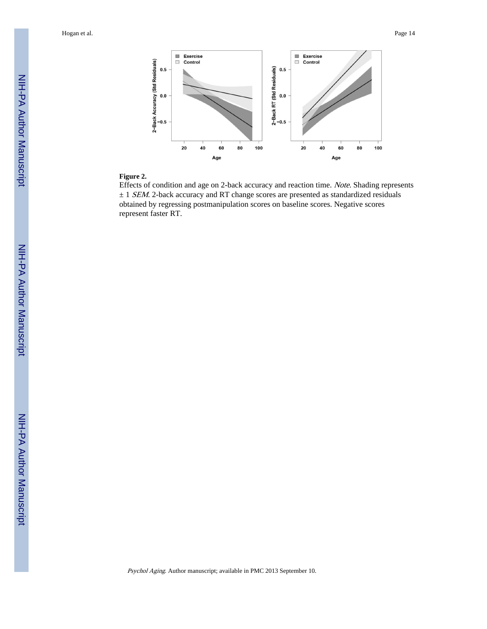Hogan et al. Page 14



# **Figure 2.**

Effects of condition and age on 2-back accuracy and reaction time. Note. Shading represents ± 1 SEM. 2-back accuracy and RT change scores are presented as standardized residuals obtained by regressing postmanipulation scores on baseline scores. Negative scores represent faster RT.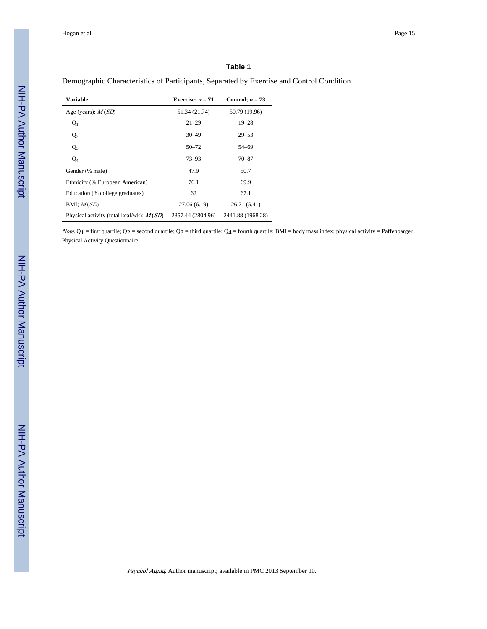#### **Table 1**

Demographic Characteristics of Participants, Separated by Exercise and Control Condition

| <b>Variable</b>                            | Exercise; $n = 71$ | Control; $n = 73$ |
|--------------------------------------------|--------------------|-------------------|
| Age (years); $M(SD)$                       | 51.34 (21.74)      | 50.79 (19.96)     |
| $Q_1$                                      | $21 - 29$          | $19 - 28$         |
| Q <sub>2</sub>                             | $30 - 49$          | $29 - 53$         |
| $Q_3$                                      | $50 - 72$          | 54-69             |
| $Q_4$                                      | $73 - 93$          | $70 - 87$         |
| Gender (% male)                            | 47.9               | 50.7              |
| Ethnicity (% European American)            | 76.1               | 69.9              |
| Education (% college graduates)            | 62                 | 67.1              |
| BMI; $M(SD)$                               | 27.06 (6.19)       | 26.71(5.41)       |
| Physical activity (total kcal/wk); $M(SD)$ | 2857.44 (2804.96)  | 2441.88 (1968.28) |

*Note.*  $Q_1$  = first quartile;  $Q_2$  = second quartile;  $Q_3$  = third quartile;  $Q_4$  = fourth quartile; BMI = body mass index; physical activity = Paffenbarger Physical Activity Questionnaire.